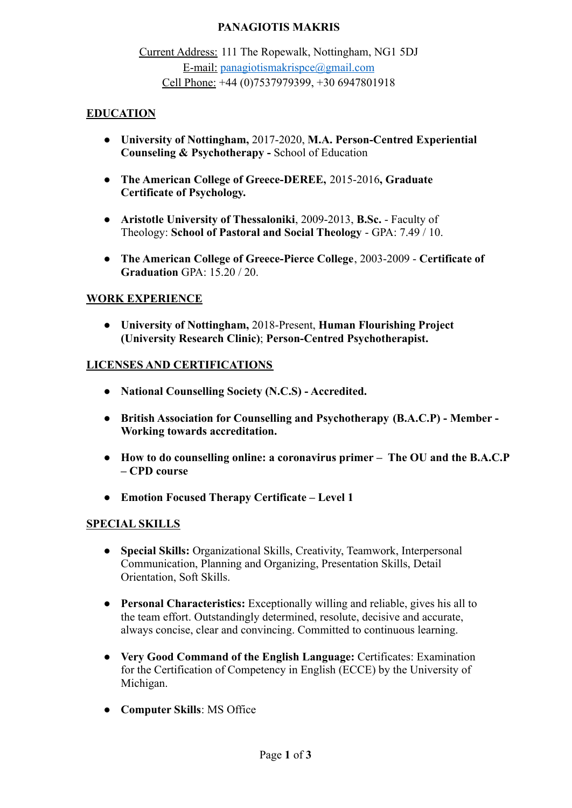## **PANAGIOTIS MAKRIS**

Current Address: 111 The Ropewalk, Nottingham, NG1 5DJ E-mail: [panagiotismakrispce@gmail.com](mailto:panagiotismakrispce@gmail.com) Cell Phone: +44 (0)7537979399, +30 6947801918

### **EDUCATION**

- **● University of Nottingham,** 2017-2020, **M.A. Person-Centred Experiential Counseling & Psychotherapy -** School of Education
- **● The American College of Greece-DEREE,** 2015-2016**, Graduate Certificate of Psychology.**
- **● Aristotle University of Thessaloniki**, 2009-2013, **B.Sc.** Faculty of Theology: **School of Pastoral and Social Theology** - GPA: 7.49 / 10.
- **The American College of Greece-Pierce College**, 2003-2009 **Certificate of Graduation** GPA: 15.20 / 20.

#### **WORK EXPERIENCE**

● **University of Nottingham,** 2018-Present, **Human Flourishing Project (University Research Clinic)**; **Person-Centred Psychotherapist.**

#### **LICENSES AND CERTIFICATIONS**

- **● National Counselling Society (N.C.S) Accredited.**
- **● British Association for Counselling and Psychotherapy (B.A.C.P) Member - Working towards accreditation.**
- **● How to do counselling online: a coronavirus primer The OU and the B.A.C.P – CPD course**
- **● Emotion Focused Therapy Certificate Level 1**

## **SPECIAL SKILLS**

- **Special Skills:** Organizational Skills, Creativity, Teamwork, Interpersonal Communication, Planning and Organizing, Presentation Skills, Detail Orientation, Soft Skills.
- **Personal Characteristics:** Exceptionally willing and reliable, gives his all to the team effort. Outstandingly determined, resolute, decisive and accurate, always concise, clear and convincing. Committed to continuous learning.
- **● Very Good Command of the English Language:** Certificates: Examination for the Certification of Competency in English (ECCE) by the University of Michigan.
- **● Computer Skills**: MS Office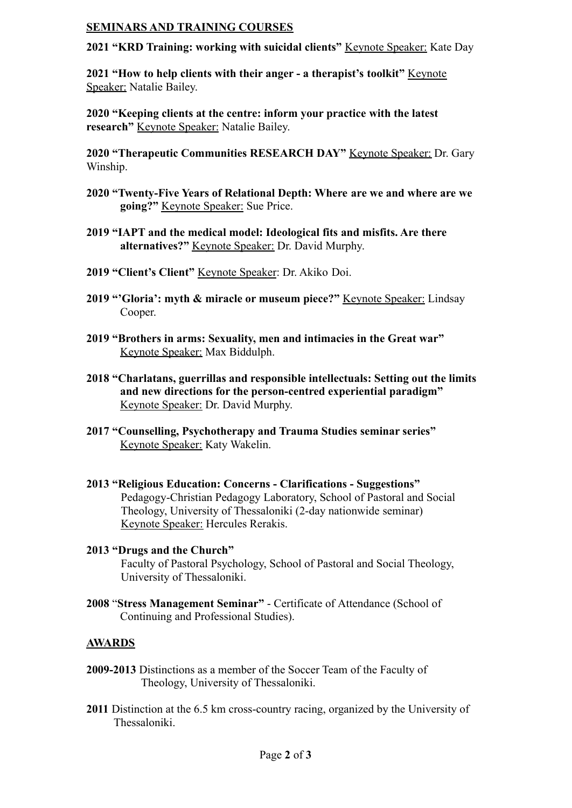#### **SEMINARS AND TRAINING COURSES**

**2021 "KRD Training: working with suicidal clients"** Keynote Speaker: Kate Day

**2021 "How to help clients with their anger - a therapist's toolkit"** Keynote Speaker: Natalie Bailey.

**2020 "Keeping clients at the centre: inform your practice with the latest research"** Keynote Speaker: Natalie Bailey.

**2020 "Therapeutic Communities RESEARCH DAY"** Keynote Speaker: Dr. Gary Winship.

- **2020 "Twenty-Five Years of Relational Depth: Where are we and where are we going?"** Keynote Speaker: Sue Price.
- **2019 "IAPT and the medical model: Ideological fits and misfits. Are there alternatives?"** Keynote Speaker: Dr. David Murphy.
- **2019 "Client's Client"** Keynote Speaker: Dr. Akiko Doi.
- **2019 "'Gloria': myth & miracle or museum piece?"** Keynote Speaker: Lindsay Cooper.
- **2019 "Brothers in arms: Sexuality, men and intimacies in the Great war"** Keynote Speaker: Max Biddulph.
- **2018 "Charlatans, guerrillas and responsible intellectuals: Setting out the limits and new directions for the person-centred experiential paradigm"** Keynote Speaker: Dr. David Murphy.
- **2017 "Counselling, Psychotherapy and Trauma Studies seminar series"** Keynote Speaker: Katy Wakelin.
- **2013 "Religious Education: Concerns Clarifications Suggestions"** Pedagogy-Christian Pedagogy Laboratory, School of Pastoral and Social Theology, University of Thessaloniki (2-day nationwide seminar) Keynote Speaker: Hercules Rerakis.
- **2013 "Drugs and the Church"** Faculty of Pastoral Psychology, School of Pastoral and Social Theology, University of Thessaloniki.
- **2008** "**Stress Management Seminar"** Certificate of Attendance (School of Continuing and Professional Studies).

## **AWARDS**

- **2009-2013** Distinctions as a member of the Soccer Team of the Faculty of Theology, University of Thessaloniki.
- **2011** Distinction at the 6.5 km cross-country racing, organized by the University of Thessaloniki.